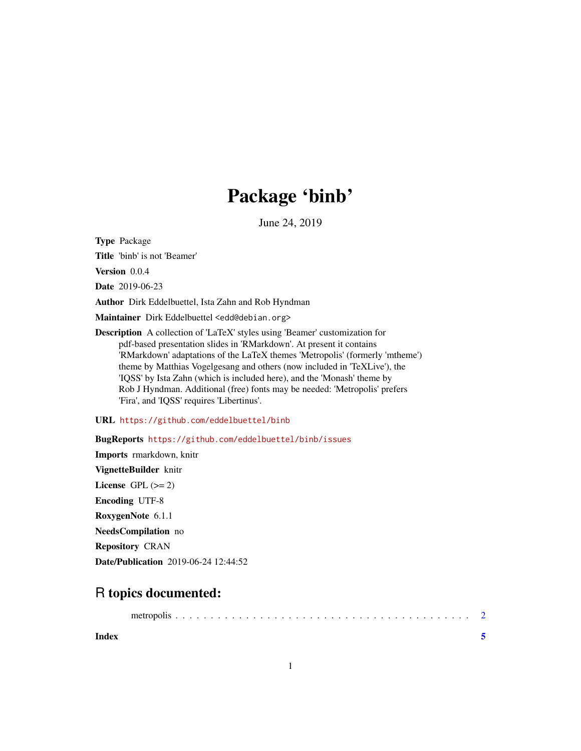## Package 'binb'

June 24, 2019

<span id="page-0-0"></span>Type Package

Title 'binb' is not 'Beamer'

Version 0.0.4

Date 2019-06-23

Author Dirk Eddelbuettel, Ista Zahn and Rob Hyndman

Maintainer Dirk Eddelbuettel <edd@debian.org>

Description A collection of 'LaTeX' styles using 'Beamer' customization for pdf-based presentation slides in 'RMarkdown'. At present it contains 'RMarkdown' adaptations of the LaTeX themes 'Metropolis' (formerly 'mtheme') theme by Matthias Vogelgesang and others (now included in 'TeXLive'), the 'IQSS' by Ista Zahn (which is included here), and the 'Monash' theme by Rob J Hyndman. Additional (free) fonts may be needed: 'Metropolis' prefers 'Fira', and 'IQSS' requires 'Libertinus'.

URL <https://github.com/eddelbuettel/binb>

BugReports <https://github.com/eddelbuettel/binb/issues>

Imports rmarkdown, knitr VignetteBuilder knitr License GPL  $(>= 2)$ Encoding UTF-8 RoxygenNote 6.1.1 NeedsCompilation no Repository CRAN Date/Publication 2019-06-24 12:44:52

### R topics documented:

| Index |  |
|-------|--|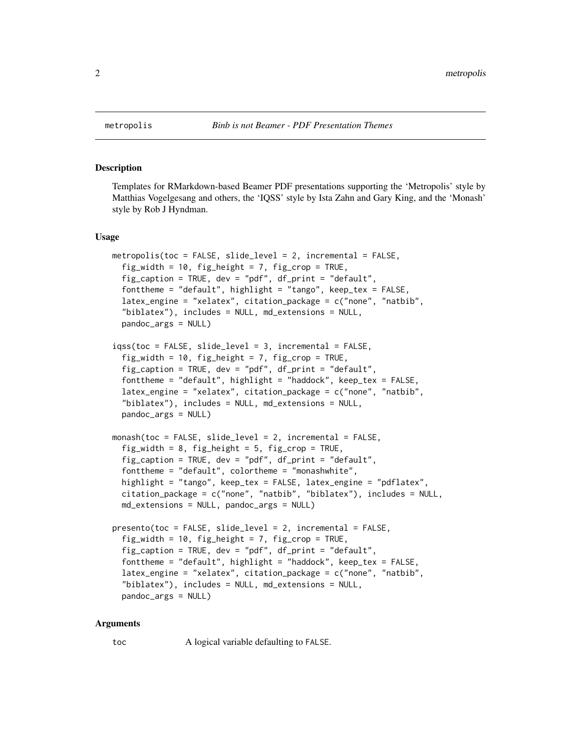#### Description

Templates for RMarkdown-based Beamer PDF presentations supporting the 'Metropolis' style by Matthias Vogelgesang and others, the 'IQSS' style by Ista Zahn and Gary King, and the 'Monash' style by Rob J Hyndman.

#### Usage

```
metropolis(toc = FALSE, slide_level = 2, incremental = FALSE,
  fig_width = 10, fig_height = 7, fig_crop = TRUE,
  fig_caption = TRUE, dev = "pdf", df_print = "default",
  fonttheme = "default", highlight = "tango", keep_tex = FALSE,
  latex_engine = "xelatex", citation_package = c("none", "natbib",
  "biblatex"), includes = NULL, md_extensions = NULL,
 pandoc_args = NULL)
iqss(toc = FALSE, slide_level = 3, incremental = FALSE,
  fig_width = 10, fig_height = 7, fig_crop = TRUE,
  fig_caption = TRUE, dev = "pdf", df_print = "default",
  fonttheme = "default", highlight = "haddock", keep_tex = FALSE,
  latex_engine = "xelatex", citation_package = c("none", "natbib",
  "biblatex"), includes = NULL, md_extensions = NULL,
 pandoc_args = NULL)
monash(toc = FALSE, slide_level = 2, incremental = FALSE,
  fig_width = 8, fig_height = 5, fig_crop = TRUE,
  fig_caption = TRUE, dev = "pdf", df_print = "default",
  fonttheme = "default", colortheme = "monashwhite",
 highlight = "tango", keep_tex = FALSE, latex_engine = "pdflatex",
 citation_package = c("none", "natbib", "biblatex"), includes = NULL,
 md_extensions = NULL, pandoc_args = NULL)
presento(toc = FALSE, slide_level = 2, incremental = FALSE,
  fig_width = 10, fig_height = 7, fig_crop = TRUE,
  fig_caption = TRUE, dev = "pdf", df_print = "default",
  fonttheme = "default", highlight = "haddock", keep_tex = FALSE,
  latex_engine = "xelatex", citation_package = c("none", "natbib",
  "biblatex"), includes = NULL, md_extensions = NULL,
  pandoc_args = NULL)
```
#### Arguments

toc A logical variable defaulting to FALSE.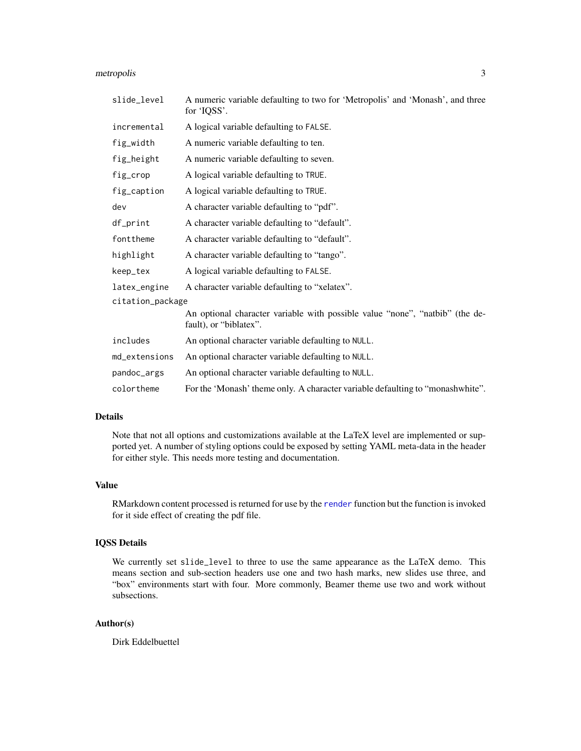#### <span id="page-2-0"></span>metropolis 3

| slide_level      | A numeric variable defaulting to two for 'Metropolis' and 'Monash', and three<br>for 'IQSS'.           |  |  |
|------------------|--------------------------------------------------------------------------------------------------------|--|--|
| incremental      | A logical variable defaulting to FALSE.                                                                |  |  |
| fig_width        | A numeric variable defaulting to ten.                                                                  |  |  |
| fig_height       | A numeric variable defaulting to seven.                                                                |  |  |
| fig_crop         | A logical variable defaulting to TRUE.                                                                 |  |  |
| fig_caption      | A logical variable defaulting to TRUE.                                                                 |  |  |
| dev              | A character variable defaulting to "pdf".                                                              |  |  |
| df_print         | A character variable defaulting to "default".                                                          |  |  |
| fonttheme        | A character variable defaulting to "default".                                                          |  |  |
| highlight        | A character variable defaulting to "tango".                                                            |  |  |
| keep_tex         | A logical variable defaulting to FALSE.                                                                |  |  |
| latex_engine     | A character variable defaulting to "xelatex".                                                          |  |  |
| citation_package |                                                                                                        |  |  |
|                  | An optional character variable with possible value "none", "natbib" (the de-<br>fault), or "biblatex". |  |  |
| includes         | An optional character variable defaulting to NULL.                                                     |  |  |
| md_extensions    | An optional character variable defaulting to NULL.                                                     |  |  |
| pandoc_args      | An optional character variable defaulting to NULL.                                                     |  |  |
| colortheme       | For the 'Monash' theme only. A character variable defaulting to "monashwhite".                         |  |  |

#### Details

Note that not all options and customizations available at the LaTeX level are implemented or supported yet. A number of styling options could be exposed by setting YAML meta-data in the header for either style. This needs more testing and documentation.

#### Value

RMarkdown content processed is returned for use by the [render](#page-0-0) function but the function is invoked for it side effect of creating the pdf file.

#### IQSS Details

We currently set slide\_level to three to use the same appearance as the LaTeX demo. This means section and sub-section headers use one and two hash marks, new slides use three, and "box" environments start with four. More commonly, Beamer theme use two and work without subsections.

#### Author(s)

Dirk Eddelbuettel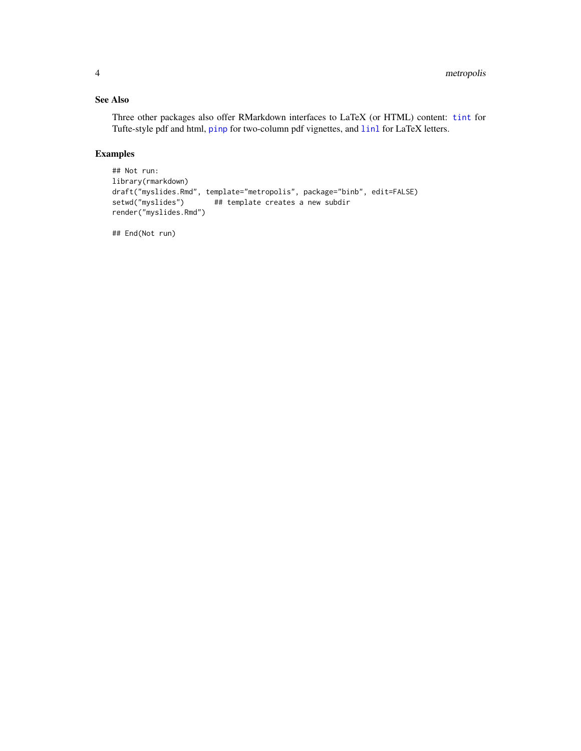#### <span id="page-3-0"></span>See Also

Three other packages also offer RMarkdown interfaces to LaTeX (or HTML) content: [tint](#page-0-0) for Tufte-style pdf and html, [pinp](#page-0-0) for two-column pdf vignettes, and [linl](#page-0-0) for LaTeX letters.

#### Examples

```
## Not run:
library(rmarkdown)
draft("myslides.Rmd", template="metropolis", package="binb", edit=FALSE)
setwd("myslides") ## template creates a new subdir
render("myslides.Rmd")
```
## End(Not run)